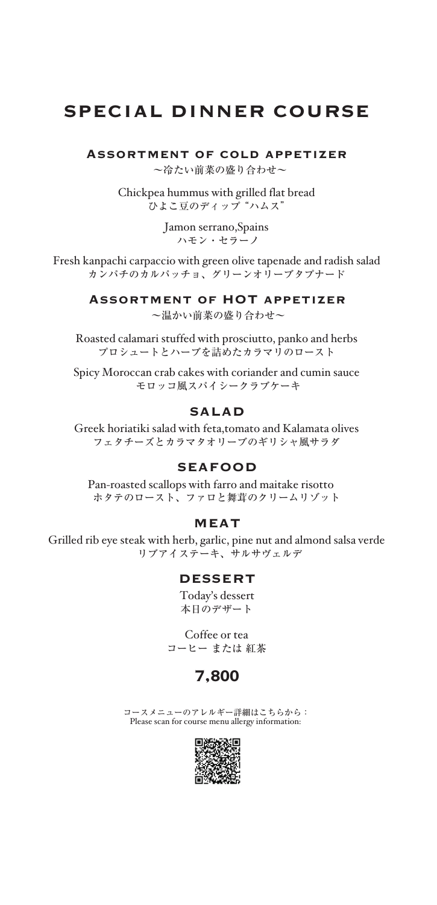# SPECIAL DINNER COURSE

Assortment of cold appetizer

~冷たい前菜の盛り合わせ~

Chickpea hummus with grilled flat bread <sub>-</sub><br>ひよこ豆のディップ "ハムス"

> Jamon serrano,Spains ハモン・セラーノ

Fresh kanpachi carpaccio with green olive tapenade and radish salad カンパチのカルパッチョ、グリーンオリーブタプナード

Assortment of HOT appetizer

~温かい前菜の盛り合わせ~

Roasted calamari stuffed with prosciutto, panko and herbs プロシュートとハーブを詰めたカラマリのロースト

Spicy Moroccan crab cakes with coriander and cumin sauce モロッコ風スパイシークラブケーキ

#### SALAD

Greek horiatiki salad with feta,tomato and Kalamata olives フェタチーズとカラマタオリーブのギリシャ風サラダ

#### SEAFOOD

Pan-roasted scallops with farro and maitake risotto ホタテのロースト、ファロと舞茸のクリームリゾット

#### MEAT

Grilled rib eye steak with herb, garlic, pine nut and almond salsa verde リブアイステーキ、サルサヴェルデ

#### DESSERT

Today's dessert 本日のデザート

Coffee or tea コーヒー または 紅茶

#### 7,800

コースメニューのアレルギー詳細はこちらから: Please scan for course menu allergy information:

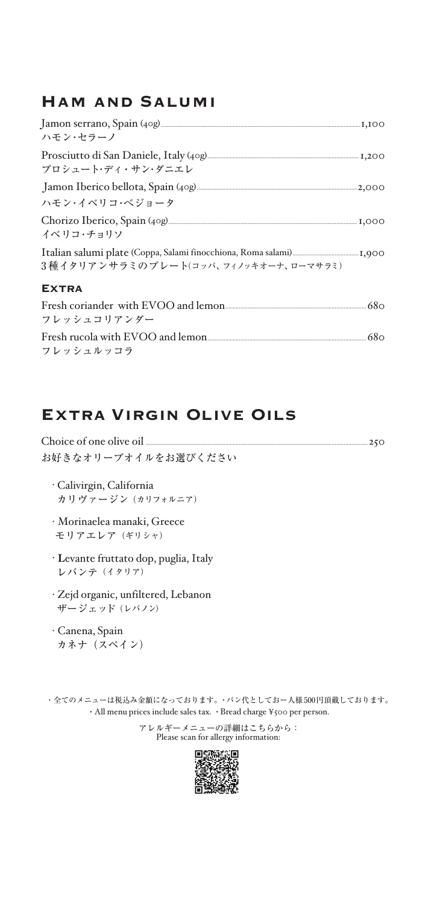### Ham and Salumi

| Prosciutto di San Daniele, Italy (40g) <u>manual memberutkan sepanjang 1,</u> 200                             |
|---------------------------------------------------------------------------------------------------------------|
| Jamon Iberico bellota, Spain (40g) [100] [2000] [2000] [2000] [3000] [3000] [3000] [3000] [3000] [3000] [3000 |
|                                                                                                               |
|                                                                                                               |
|                                                                                                               |
| Fresh coriander with EVOO and lemon                                                                           |
|                                                                                                               |

Fresh rucola with EVOO and lemon..........................................................................................................680 フレッシュルッコラ

# Extra Virgin Olive Oils

| お好きなオリーブオイルをお選びください |  |
|---------------------|--|

- ・Calivirgin, California カリヴァージン (カリフォルニア)
- ・Morinaelea manaki, Greece モリアエレア (ギリシャ)
- ・ **L**evante fruttato dop, puglia, Italy レバンテ(イタリア)
- ・Zejd organic, unfiltered, Lebanon ザージェッド(レバノン)
- ・Canena, Spain カネナ(スペイン)

・全てのメニューは税込み金額になっております。・パン代としておー人様500円頂戴しております。 ・All menu prices include sales tax. ・Bread charge ¥500 per person.

> アレルギーメニューの詳細はこちらから: Please scan for allergy information:

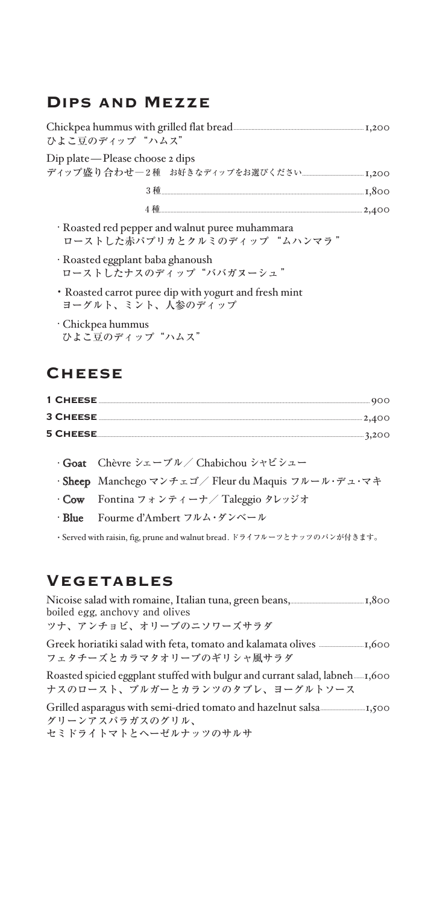### **DIPS AND MEZZE**

| ひよこ豆のディップ "ハムス"                                                                 |  |
|---------------------------------------------------------------------------------|--|
| Dip plate—Please choose 2 dips                                                  |  |
|                                                                                 |  |
|                                                                                 |  |
| · Roasted red pepper and walnut puree muhammara<br>ローストした赤パプリカとクルミのディップ "ムハンマラ" |  |
| · Roasted eggplant baba ghanoush<br>ローストしたナスのディップ"ババガヌーシュ"                      |  |
| • Roasted carrot puree dip with yogurt and fresh mint<br>ヨーグルト、ミント、人参のディップ      |  |
| · Chickpea hummus<br>ひよこ豆のディップ"ハムス"                                             |  |

### **CHEESE**

- · Goat Chèvre シェーブル / Chabichou シャビシュー
- · Sheep Manchego マンチェゴ/ Fleur du Maquis フルール・デュ・マキ
- · Cow Fontina フォンティーナ/ Taleggio タレッジオ
- $\cdot$  Blue Fourme d'Ambert フルム・ダンベール

· Served with raisin, fig, prune and walnut bread. ドライフルーツとナッツのパンが付きます。

### **VEGETABLES**

Nicoise salad with romaine, Italian tuna, green beans, 1,800 boiled egg, anchovy and olives ツナ、アンチョビ、オリーブのニソワーズサラダ

フェタチーズとカラマタオリーブのギリシャ風サラダ

ナスのロースト、ブルガーとカランツのタブレ、ヨーグルトソース

グリーンアスパラガスのグリル、

セミドライトマトとヘーゼルナッツのサルサ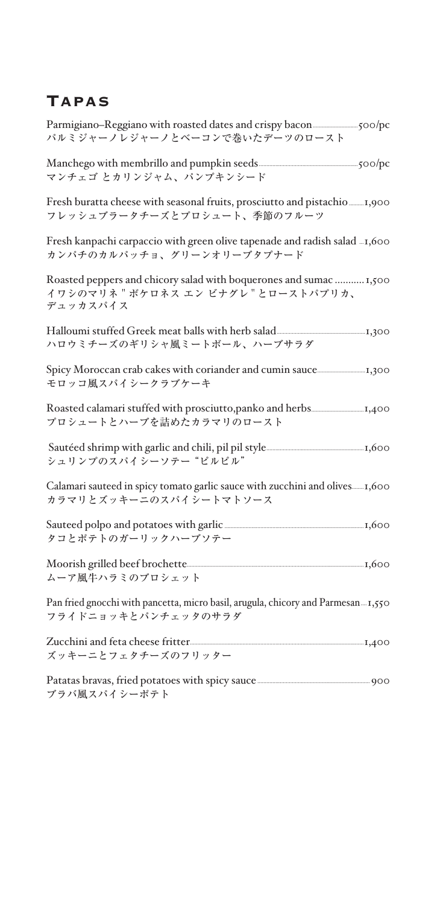# **TAPAS**

| パルミジャーノレジャーノとベーコンで巻いたデーツのロースト                                                                                                                                                                                                                              |  |
|------------------------------------------------------------------------------------------------------------------------------------------------------------------------------------------------------------------------------------------------------------|--|
| マンチェゴ とカリンジャム、パンプキンシード                                                                                                                                                                                                                                     |  |
| フレッシュブラータチーズとプロシュート、季節のフルーツ                                                                                                                                                                                                                                |  |
| Fresh kanpachi carpaccio with green olive tapenade and radish salad  1,600<br>カンパチのカルパッチョ、グリーンオリーブタプナード                                                                                                                                                    |  |
| Roasted peppers and chicory salad with boquerones and sumac  1,500<br>イワシのマリネ "ボケロネス エン ビナグレ"とローストパプリカ、<br>デュッカスパイス                                                                                                                                        |  |
| Halloumi stuffed Greek meat balls with herb salad <b>Supply 1.300</b> Fig. 200<br>ハロウミチーズのギリシャ風ミートボール、ハーブサラダ                                                                                                                                               |  |
| モロッコ風スパイシークラブケーキ                                                                                                                                                                                                                                           |  |
| プロシュートとハーブを詰めたカラマリのロースト                                                                                                                                                                                                                                    |  |
| シュリンプのスパイシーソテー"ピルピル"                                                                                                                                                                                                                                       |  |
| カラマリとズッキーニのスパイシートマトソース                                                                                                                                                                                                                                     |  |
| Sauteed polpo and potatoes with garlic <b>manually construct to the set of the set of the set of the set of the set of the set of the set of the set of the set of the set of the set of the set of the set of the set of the se</b><br>タコとポテトのガーリックハーブソテー |  |
| ムーア風牛ハラミのブロシェット                                                                                                                                                                                                                                            |  |
| Pan fried gnocchi with pancetta, micro basil, arugula, chicory and Parmesan 1,550<br>フライドニョッキとパンチェッタのサラダ                                                                                                                                                   |  |
| ズッキーニとフェタチーズのフリッター                                                                                                                                                                                                                                         |  |
| Patatas bravas, fried potatoes with spicy sauce <b>manually and the set of property</b> 900<br>ブラバ風スパイシーポテト                                                                                                                                                |  |